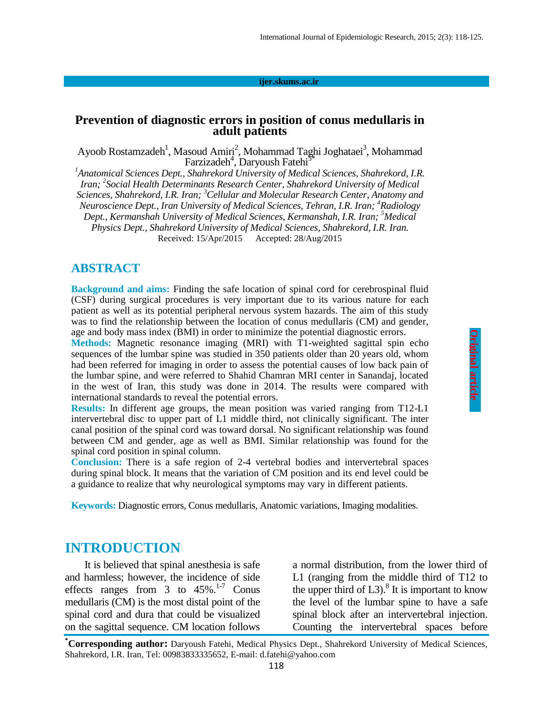#### **ijer.skums.ac.ir**

#### **Prevention of diagnostic errors in position of conus medullaris in adult patients**

Ayoob Rostamzadeh<sup>1</sup>, Masoud Amiri<sup>2</sup>, Mohammad Taghi Joghataei<sup>3</sup>, Mohammad  $Farzizadeh<sup>4</sup>$ , Daryoush Fatehi<sup>5\*</sup>

*<sup>1</sup>Anatomical Sciences Dept., Shahrekord University of Medical Sciences, Shahrekord, I.R. Iran; <sup>2</sup> Social Health Determinants Research Center, Shahrekord University of Medical Sciences, Shahrekord, I.R. Iran; <sup>3</sup>Cellular and Molecular Research Center, Anatomy and Neuroscience Dept., Iran University of Medical Sciences, Tehran, I.R. Iran; <sup>4</sup>Radiology Dept., Kermanshah University of Medical Sciences, Kermanshah, I.R. Iran; <sup>5</sup>Medical Physics Dept., Shahrekord University of Medical Sciences, Shahrekord, I.R. Iran.* Received: 15/Apr/2015 Accepted: 28/Aug/2015

#### **ABSTRACT**

**Background and aims:** Finding the safe location of spinal cord for cerebrospinal fluid (CSF) during surgical procedures is very important due to its various nature for each patient as well as its potential peripheral nervous system hazards. The aim of this study was to find the relationship between the location of conus medullaris (CM) and gender, age and body mass index (BMI) in order to minimize the potential diagnostic errors.

**Methods:** Magnetic resonance imaging (MRI) with T1-weighted sagittal spin echo sequences of the lumbar spine was studied in 350 patients older than 20 years old, whom had been referred for imaging in order to assess the potential causes of low back pain of the lumbar spine, and were referred to Shahid Chamran MRI center in Sanandaj, located in the west of Iran, this study was done in 2014. The results were compared with international standards to reveal the potential errors.

**Results:** In different age groups, the mean position was varied ranging from T12-L1 intervertebral disc to upper part of L1 middle third, not clinically significant. The inter canal position of the spinal cord was toward dorsal. No significant relationship was found between CM and gender, age as well as BMI. Similar relationship was found for the spinal cord position in spinal column.

**Conclusion:** There is a safe region of 2-4 vertebral bodies and intervertebral spaces during spinal block. It means that the variation of CM position and its end level could be a guidance to realize that why neurological symptoms may vary in different patients.

**Keywords:** Diagnostic errors, Conus medullaris, Anatomic variations, Imaging modalities.

#### **INTRODUCTION**

It is believed that spinal anesthesia is safe and harmless; however, the incidence of side effects ranges from 3 to  $45\%$ .<sup>1-7</sup> Conus medullaris (CM) is the most distal point of the spinal cord and dura that could be visualized on the sagittal sequence. CM location follows

a normal distribution, from the lower third of L1 (ranging from the middle third of T12 to the upper third of  $L3$ ).<sup>8</sup> It is important to know the level of the lumbar spine to have a safe spinal block after an intervertebral injection. Counting the intervertebral spaces before

**\*Corresponding author:** Daryoush Fatehi, Medical Physics Dept., Shahrekord University of Medical Sciences, Shahrekord, I.R. Iran, Tel: 00983833335652, E-mail: d.fatehi@yahoo.com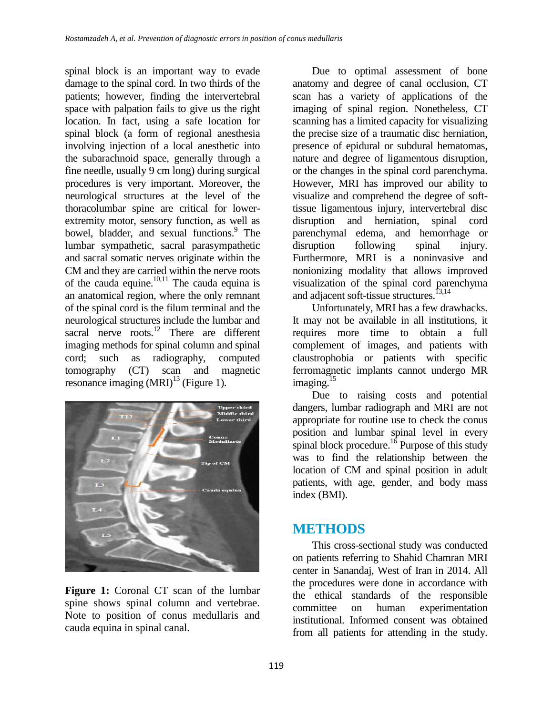spinal block is an important way to evade damage to the spinal cord. In two thirds of the patients; however, finding the intervertebral space with palpation fails to give us the right location. In fact, using a safe location for spinal block (a form of regional anesthesia involving injection of a local anesthetic into the subarachnoid space, generally through a fine needle, usually 9 cm long) during surgical procedures is very important. Moreover, the neurological structures at the level of the thoracolumbar spine are critical for lowerextremity motor, sensory function, as well as bowel, bladder, and sexual functions.<sup>9</sup> The lumbar sympathetic, sacral parasympathetic and sacral somatic nerves originate within the CM and they are carried within the nerve roots of the cauda equine. $10,11$  The cauda equina is an anatomical region, where the only remnant of the spinal cord is the filum terminal and the neurological structures include the lumbar and sacral nerve roots. $12$  There are different imaging methods for spinal column and spinal cord; such as radiography, computed tomography (CT) scan and magnetic resonance imaging  $(MRI)^{13}$  (Figure 1).



**Figure 1:** Coronal CT scan of the lumbar spine shows spinal column and vertebrae. Note to position of conus medullaris and cauda equina in spinal canal.

Due to optimal assessment of bone anatomy and degree of canal occlusion, CT scan has a variety of applications of the imaging of spinal region. Nonetheless, CT scanning has a limited capacity for visualizing the precise size of a traumatic disc herniation, presence of epidural or subdural hematomas, nature and degree of ligamentous disruption, or the changes in the spinal cord parenchyma. However, MRI has improved our ability to visualize and comprehend the degree of softtissue ligamentous injury, intervertebral disc disruption and herniation, spinal cord parenchymal edema, and hemorrhage or disruption following spinal injury. Furthermore, MRI is a noninvasive and nonionizing modality that allows improved visualization of the spinal cord parenchyma and adjacent soft-tissue structures.<sup>13,14</sup>

Unfortunately, MRI has a few drawbacks. It may not be available in all institutions, it requires more time to obtain a full complement of images, and patients with claustrophobia or patients with specific ferromagnetic implants cannot undergo MR imaging. $15$ 

Due to raising costs and potential dangers, lumbar radiograph and MRI are not appropriate for routine use to check the conus position and lumbar spinal level in every spinal block procedure. $\frac{16}{6}$  Purpose of this study was to find the relationship between the location of CM and spinal position in adult patients, with age, gender, and body mass index (BMI).

### **METHODS**

This cross-sectional study was conducted on patients referring to Shahid Chamran MRI center in Sanandaj, West of Iran in 2014. All the procedures were done in accordance with the ethical standards of the responsible committee on human experimentation institutional. Informed consent was obtained from all patients for attending in the study.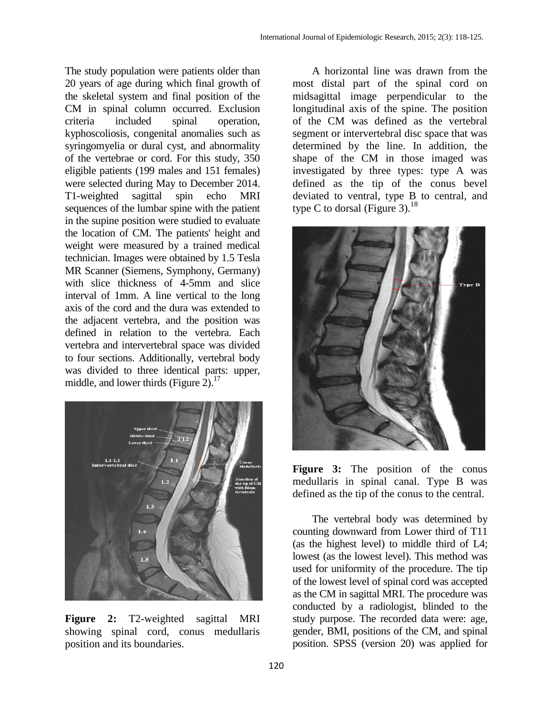The study population were patients older than 20 years of age during which final growth of the skeletal system and final position of the CM in spinal column occurred. Exclusion criteria included spinal operation, kyphoscoliosis, congenital anomalies such as syringomyelia or dural cyst, and abnormality of the vertebrae or cord. For this study, 350 eligible patients (199 males and 151 females) were selected during May to December 2014. T1-weighted sagittal spin echo MRI sequences of the lumbar spine with the patient in the supine position were studied to evaluate the location of CM. The patients' height and weight were measured by a trained medical technician. Images were obtained by 1.5 Tesla MR Scanner (Siemens, Symphony, Germany) with slice thickness of 4-5mm and slice interval of 1mm. A line vertical to the long axis of the cord and the dura was extended to the adjacent vertebra, and the position was defined in relation to the vertebra. Each vertebra and intervertebral space was divided to four sections. Additionally, vertebral body was divided to three identical parts: upper, middle, and lower thirds (Figure  $2$ ).<sup>17</sup>



**Figure 2:** T2-weighted sagittal MRI showing spinal cord, conus medullaris position and its boundaries.

A horizontal line was drawn from the most distal part of the spinal cord on midsagittal image perpendicular to the longitudinal axis of the spine. The position of the CM was defined as the vertebral segment or intervertebral disc space that was determined by the line. In addition, the shape of the CM in those imaged was investigated by three types: type A was defined as the tip of the conus bevel deviated to ventral, type B to central, and type C to dorsal (Figure 3).<sup>18</sup>



**Figure 3:** The position of the conus medullaris in spinal canal. Type B was defined as the tip of the conus to the central.

The vertebral body was determined by counting downward from Lower third of T11 (as the highest level) to middle third of L4; lowest (as the lowest level). This method was used for uniformity of the procedure. The tip of the lowest level of spinal cord was accepted as the CM in sagittal MRI. The procedure was conducted by a radiologist, blinded to the study purpose. The recorded data were: age, gender, BMI, positions of the CM, and spinal position. SPSS (version 20) was applied for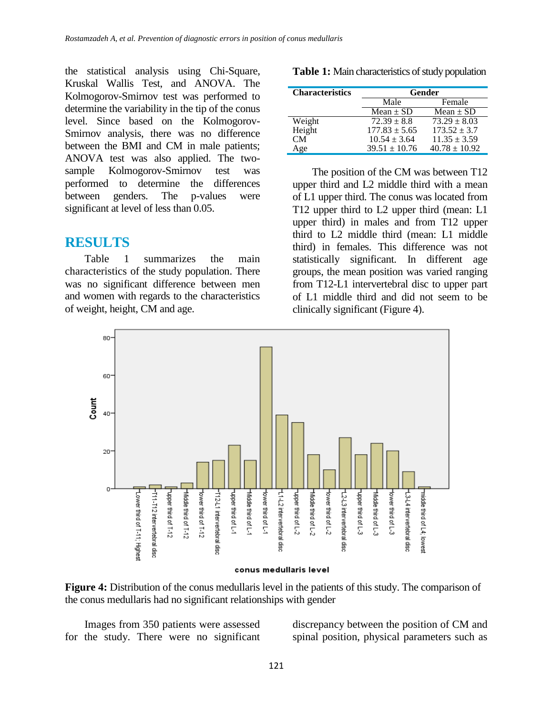the statistical analysis using Chi-Square, Kruskal Wallis Test, and ANOVA. The Kolmogorov-Smirnov test was performed to determine the variability in the tip of the conus level. Since based on the Kolmogorov-Smirnov analysis, there was no difference between the BMI and CM in male patients; ANOVA test was also applied. The twosample Kolmogorov-Smirnov test was performed to determine the differences between genders. The p-values were significant at level of less than 0.05.

### **RESULTS**

Table 1 summarizes the main characteristics of the study population. There was no significant difference between men and women with regards to the characteristics of weight, height, CM and age.

**Characteristics Gender** Male Female  $Mean \pm SD$  Mean  $\pm SD$ Weight  $72.39 \pm 8.8$   $73.29 \pm 8.03$ Height  $177.83 \pm 5.65$   $173.52 \pm 3.7$ <br>CM  $10.54 \pm 3.64$   $11.35 \pm 3.59$  $10.54 \pm 3.64$   $11.35 \pm 3.59$ <br> $39.51 \pm 10.76$   $40.78 \pm 10.92$ Age  $39.51 \pm 10.76$ 

**Table 1:** Main characteristics of study population

The position of the CM was between T12 upper third and L2 middle third with a mean of L1 upper third. The conus was located from T12 upper third to L2 upper third (mean: L1 upper third) in males and from T12 upper third to L2 middle third (mean: L1 middle third) in females. This difference was not statistically significant. In different age groups, the mean position was varied ranging from T12-L1 intervertebral disc to upper part of L1 middle third and did not seem to be clinically significant (Figure 4).



conus medullaris level

**Figure 4:** Distribution of the conus medullaris level in the patients of this study. The comparison of the conus medullaris had no significant relationships with gender

Images from 350 patients were assessed for the study. There were no significant discrepancy between the position of CM and spinal position, physical parameters such as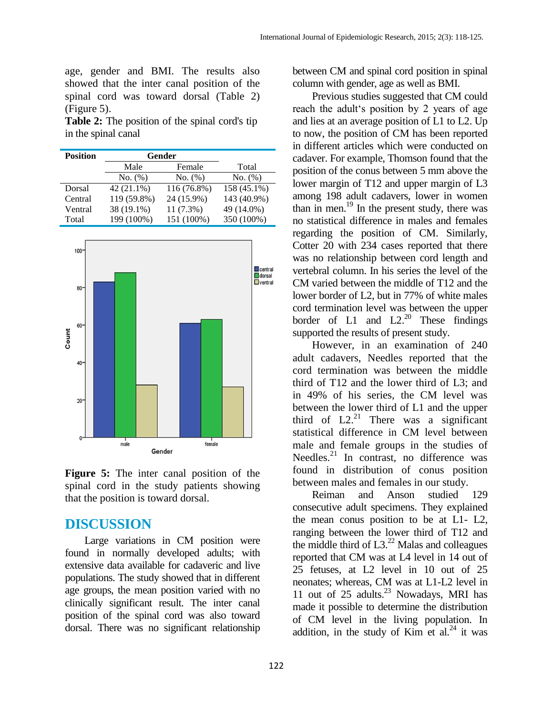age, gender and BMI. The results also showed that the inter canal position of the spinal cord was toward dorsal (Table 2) (Figure 5).

**Table 2:** The position of the spinal cord's tip in the spinal canal

| <b>Position</b> | Gender      |             |             |
|-----------------|-------------|-------------|-------------|
|                 | Male        | Female      | Total       |
|                 | No. (%)     | No. (%)     | No. (%)     |
| Dorsal          | 42 (21.1%)  | 116 (76.8%) | 158 (45.1%) |
| Central         | 119 (59.8%) | 24 (15.9%)  | 143 (40.9%) |
| Ventral         | 38 (19.1%)  | $11(7.3\%)$ | 49 (14.0%)  |
| Total           | 199 (100%)  | 151 (100%)  | 350 (100%)  |



**Figure 5:** The inter canal position of the spinal cord in the study patients showing that the position is toward dorsal.

### **DISCUSSION**

Large variations in CM position were found in normally developed adults; with extensive data available for cadaveric and live populations. The study showed that in different age groups, the mean position varied with no clinically significant result. The inter canal position of the spinal cord was also toward dorsal. There was no significant relationship

between CM and spinal cord position in spinal column with gender, age as well as BMI.

Previous studies suggested that CM could reach the adult's position by 2 years of age and lies at an average position of L1 to L2. Up to now, the position of CM has been reported in different articles which were conducted on cadaver. For example, Thomson found that the position of the conus between 5 mm above the lower margin of T12 and upper margin of L3 among 198 adult cadavers, lower in women than in men. <sup>19</sup> In the present study, there was no statistical difference in males and females regarding the position of CM. Similarly, Cotter 20 with 234 cases reported that there was no relationship between cord length and vertebral column. In his series the level of the CM varied between the middle of T12 and the lower border of L2, but in 77% of white males cord termination level was between the upper border of L1 and  $L2<sup>20</sup>$  These findings supported the results of present study.

However, in an examination of 240 adult cadavers, Needles reported that the cord termination was between the middle third of T12 and the lower third of L3; and in 49% of his series, the CM level was between the lower third of L1 and the upper third of  $L2<sup>21</sup>$  There was a significant statistical difference in CM level between male and female groups in the studies of Needles. $^{21}$  In contrast, no difference was found in distribution of conus position between males and females in our study.

Reiman and Anson studied 129 consecutive adult specimens. They explained the mean conus position to be at L1- L2, ranging between the lower third of T12 and the middle third of  $L3^{22}$  Malas and colleagues reported that CM was at L4 level in 14 out of 25 fetuses, at L2 level in 10 out of 25 neonates; whereas, CM was at L1-L2 level in 11 out of 25 adults. <sup>23</sup> Nowadays, MRI has made it possible to determine the distribution of CM level in the living population. In addition, in the study of Kim et al. $^{24}$  it was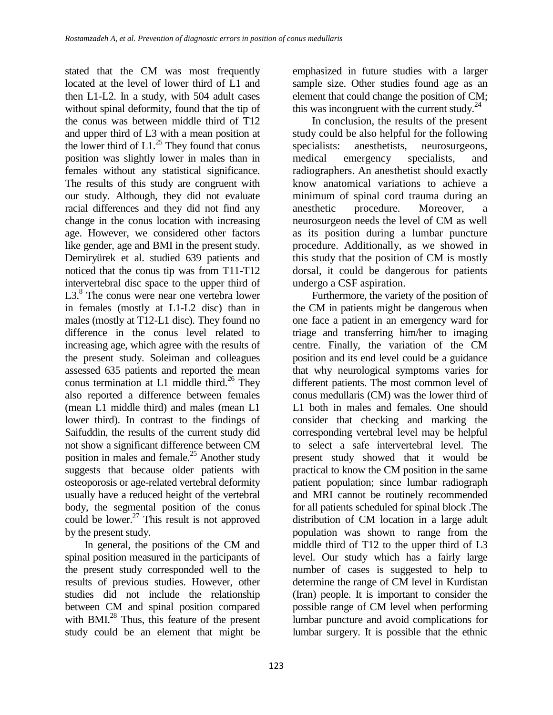stated that the CM was most frequently located at the level of lower third of L1 and then L1-L2. In a study, with 504 adult cases without spinal deformity, found that the tip of the conus was between middle third of T12 and upper third of L3 with a mean position at the lower third of  $L1^{25}$ . They found that conus position was slightly lower in males than in females without any statistical significance. The results of this study are congruent with our study. Although, they did not evaluate racial differences and they did not find any change in the conus location with increasing age. However, we considered other factors like gender, age and BMI in the present study. Demiryürek et al. studied 639 patients and noticed that the conus tip was from T11-T12 intervertebral disc space to the upper third of L3.<sup>8</sup> The conus were near one vertebra lower in females (mostly at L1-L2 disc) than in males (mostly at T12-L1 disc). They found no difference in the conus level related to increasing age, which agree with the results of the present study. Soleiman and colleagues assessed 635 patients and reported the mean conus termination at L1 middle third.<sup>26</sup> They also reported a difference between females (mean L1 middle third) and males (mean L1 lower third). In contrast to the findings of Saifuddin, the results of the current study did not show a significant difference between CM position in males and female.<sup>25</sup> Another study suggests that because older patients with osteoporosis or age-related vertebral deformity usually have a reduced height of the vertebral body, the segmental position of the conus could be lower.<sup>27</sup> This result is not approved by the present study.

In general, the positions of the CM and spinal position measured in the participants of the present study corresponded well to the results of previous studies. However, other studies did not include the relationship between CM and spinal position compared with BMI.<sup>28</sup> Thus, this feature of the present study could be an element that might be

emphasized in future studies with a larger sample size. Other studies found age as an element that could change the position of CM; this was incongruent with the current study. $^{24}$ 

In conclusion, the results of the present study could be also helpful for the following specialists: anesthetists, neurosurgeons, medical emergency specialists, and radiographers. An anesthetist should exactly know anatomical variations to achieve a minimum of spinal cord trauma during an anesthetic procedure. Moreover, a neurosurgeon needs the level of CM as well as its position during a lumbar puncture procedure. Additionally, as we showed in this study that the position of CM is mostly dorsal, it could be dangerous for patients undergo a CSF aspiration.

Furthermore, the variety of the position of the CM in patients might be dangerous when one face a patient in an emergency ward for triage and transferring him/her to imaging centre. Finally, the variation of the CM position and its end level could be a guidance that why neurological symptoms varies for different patients. The most common level of conus medullaris (CM) was the lower third of L1 both in males and females. One should consider that checking and marking the corresponding vertebral level may be helpful to select a safe intervertebral level. The present study showed that it would be practical to know the CM position in the same patient population; since lumbar radiograph and MRI cannot be routinely recommended for all patients scheduled for spinal block .The distribution of CM location in a large adult population was shown to range from the middle third of T12 to the upper third of L3 level. Our study which has a fairly large number of cases is suggested to help to determine the range of CM level in Kurdistan (Iran) people. It is important to consider the possible range of CM level when performing lumbar puncture and avoid complications for lumbar surgery. It is possible that the ethnic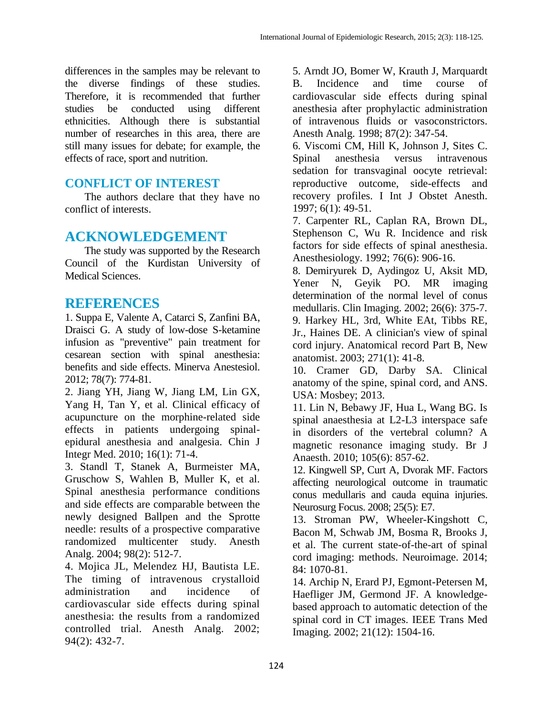differences in the samples may be relevant to the diverse findings of these studies. Therefore, it is recommended that further studies be conducted using different ethnicities. Although there is substantial number of researches in this area, there are still many issues for debate; for example, the effects of race, sport and nutrition.

### **CONFLICT OF INTEREST**

The authors declare that they have no conflict of interests.

## **ACKNOWLEDGEMENT**

The study was supported by the Research Council of the Kurdistan University of Medical Sciences.

# **REFERENCES**

1. Suppa E, Valente A, Catarci S, Zanfini BA, Draisci G. A study of low-dose S-ketamine infusion as "preventive" pain treatment for cesarean section with spinal anesthesia: benefits and side effects. Minerva Anestesiol. 2012; 78(7): 774-81.

2. Jiang YH, Jiang W, Jiang LM, Lin GX, Yang H, Tan Y, et al. Clinical efficacy of acupuncture on the morphine-related side effects in patients undergoing spinalepidural anesthesia and analgesia. Chin J Integr Med. 2010; 16(1): 71-4.

3. Standl T, Stanek A, Burmeister MA, Gruschow S, Wahlen B, Muller K, et al. Spinal anesthesia performance conditions and side effects are comparable between the newly designed Ballpen and the Sprotte needle: results of a prospective comparative randomized multicenter study. Anesth Analg. 2004; 98(2): 512-7.

4. Mojica JL, Melendez HJ, Bautista LE. The timing of intravenous crystalloid administration and incidence of cardiovascular side effects during spinal anesthesia: the results from a randomized controlled trial. Anesth Analg. 2002; 94(2): 432-7.

5. Arndt JO, Bomer W, Krauth J, Marquardt B. Incidence and time course of cardiovascular side effects during spinal anesthesia after prophylactic administration of intravenous fluids or vasoconstrictors. Anesth Analg. 1998; 87(2): 347-54.

6. Viscomi CM, Hill K, Johnson J, Sites C. Spinal anesthesia versus intravenous sedation for transvaginal oocyte retrieval: reproductive outcome, side-effects and recovery profiles. I Int J Obstet Anesth. 1997; 6(1): 49-51.

7. Carpenter RL, Caplan RA, Brown DL, Stephenson C, Wu R. Incidence and risk factors for side effects of spinal anesthesia. Anesthesiology. 1992; 76(6): 906-16.

8. Demiryurek D, Aydingoz U, Aksit MD, Yener N, Geyik PO. MR imaging determination of the normal level of conus medullaris. Clin Imaging. 2002; 26(6): 375-7. 9. Harkey HL, 3rd, White EAt, Tibbs RE, Jr., Haines DE. A clinician's view of spinal cord injury. Anatomical record Part B, New

anatomist. 2003; 271(1): 41-8.

10. Cramer GD, Darby SA. Clinical anatomy of the spine, spinal cord, and ANS. USA: Mosbey; 2013.

11. Lin N, Bebawy JF, Hua L, Wang BG. Is spinal anaesthesia at L2-L3 interspace safe in disorders of the vertebral column? A magnetic resonance imaging study. Br J Anaesth. 2010; 105(6): 857-62.

12. Kingwell SP, Curt A, Dvorak MF. Factors affecting neurological outcome in traumatic conus medullaris and cauda equina injuries. Neurosurg Focus. 2008; 25(5): E7.

13. Stroman PW, Wheeler-Kingshott C, Bacon M, Schwab JM, Bosma R, Brooks J, et al. The current state-of-the-art of spinal cord imaging: methods. Neuroimage. 2014; 84: 1070-81.

14. Archip N, Erard PJ, Egmont-Petersen M, Haefliger JM, Germond JF. A knowledgebased approach to automatic detection of the spinal cord in CT images. IEEE Trans Med Imaging. 2002; 21(12): 1504-16.